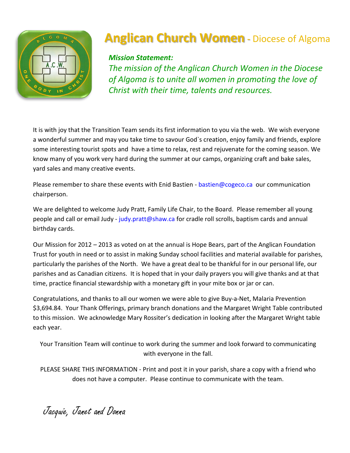

# **Anglican Church Women** - Diocese of Algoma

### *Mission Statement:*

*The mission of the Anglican Church Women in the Diocese of Algoma is to unite all women in promoting the love of Christ with their time, talents and resources.*

It is with joy that the Transition Team sends its first information to you via the web. We wish everyone a wonderful summer and may you take time to savour God`s creation, enjoy family and friends, explore some interesting tourist spots and have a time to relax, rest and rejuvenate for the coming season. We know many of you work very hard during the summer at our camps, organizing craft and bake sales, yard sales and many creative events.

Please remember to share these events with Enid Bastien - [bastien@cogeco.ca](mailto:bastien@cogeco.ca) our communication chairperson.

We are delighted to welcome Judy Pratt, Family Life Chair, to the Board. Please remember all young people and call or email Judy - [judy.pratt@shaw.ca](mailto:judy.pratt@shaw.ca) for cradle roll scrolls, baptism cards and annual birthday cards.

Our Mission for 2012 – 2013 as voted on at the annual is Hope Bears, part of the Anglican Foundation Trust for youth in need or to assist in making Sunday school facilities and material available for parishes, particularly the parishes of the North. We have a great deal to be thankful for in our personal life, our parishes and as Canadian citizens. It is hoped that in your daily prayers you will give thanks and at that time, practice financial stewardship with a monetary gift in your mite box or jar or can.

Congratulations, and thanks to all our women we were able to give Buy-a-Net, Malaria Prevention \$3,694.84. Your Thank Offerings, primary branch donations and the Margaret Wright Table contributed to this mission. We acknowledge Mary Rossiter's dedication in looking after the Margaret Wright table each year.

Your Transition Team will continue to work during the summer and look forward to communicating with everyone in the fall.

PLEASE SHARE THIS INFORMATION - Print and post it in your parish, share a copy with a friend who does not have a computer. Please continue to communicate with the team.

Jacquie, Janet and Donna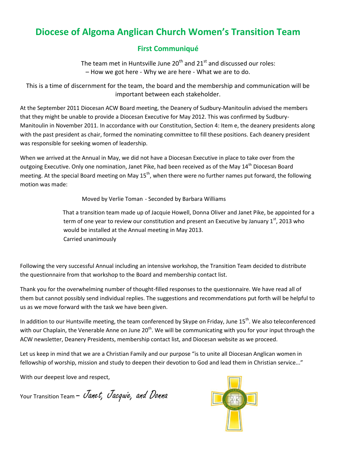### **Diocese of Algoma Anglican Church Women's Transition Team**

### **First Communiqué**

The team met in Huntsville June  $20<sup>th</sup>$  and  $21<sup>st</sup>$  and discussed our roles: – How we got here - Why we are here - What we are to do.

This is a time of discernment for the team, the board and the membership and communication will be important between each stakeholder.

At the September 2011 Diocesan ACW Board meeting, the Deanery of Sudbury-Manitoulin advised the members that they might be unable to provide a Diocesan Executive for May 2012. This was confirmed by Sudbury-Manitoulin in November 2011. In accordance with our Constitution, Section 4: Item e, the deanery presidents along with the past president as chair, formed the nominating committee to fill these positions. Each deanery president was responsible for seeking women of leadership.

When we arrived at the Annual in May, we did not have a Diocesan Executive in place to take over from the outgoing Executive. Only one nomination, Janet Pike, had been received as of the May 14<sup>th</sup> Diocesan Board meeting. At the special Board meeting on May 15<sup>th</sup>, when there were no further names put forward, the following motion was made:

Moved by Verlie Toman - Seconded by Barbara Williams

 That a transition team made up of Jacquie Howell, Donna Oliver and Janet Pike, be appointed for a term of one year to review our constitution and present an Executive by January  $1<sup>st</sup>$ , 2013 who would be installed at the Annual meeting in May 2013. Carried unanimously

Following the very successful Annual including an intensive workshop, the Transition Team decided to distribute the questionnaire from that workshop to the Board and membership contact list.

Thank you for the overwhelming number of thought-filled responses to the questionnaire. We have read all of them but cannot possibly send individual replies. The suggestions and recommendations put forth will be helpful to us as we move forward with the task we have been given.

In addition to our Huntsville meeting, the team conferenced by Skype on Friday, June 15<sup>th</sup>. We also teleconferenced with our Chaplain, the Venerable Anne on June  $20<sup>th</sup>$ . We will be communicating with you for your input through the ACW newsletter, Deanery Presidents, membership contact list, and Diocesan website as we proceed.

Let us keep in mind that we are a Christian Family and our purpose "is to unite all Diocesan Anglican women in fellowship of worship, mission and study to deepen their devotion to God and lead them in Christian service..."

With our deepest love and respect,

Your Transition Team - *Janet, Jacquie, and Donna* 

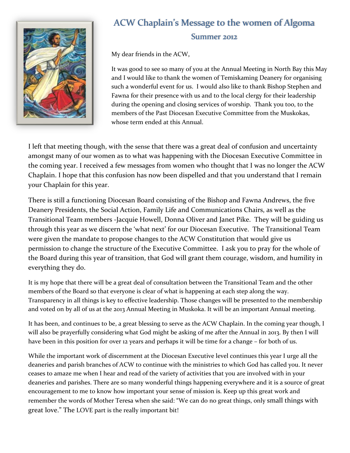

## ACW Chaplain's Message to the women of Algoma Summer 2012

My dear friends in the ACW,

It was good to see so many of you at the Annual Meeting in North Bay this May and I would like to thank the women of Temiskaming Deanery for organising such a wonderful event for us. I would also like to thank Bishop Stephen and Fawna for their presence with us and to the local clergy for their leadership during the opening and closing services of worship. Thank you too, to the members of the Past Diocesan Executive Committee from the Muskokas, whose term ended at this Annual.

I left that meeting though, with the sense that there was a great deal of confusion and uncertainty amongst many of our women as to what was happening with the Diocesan Executive Committee in the coming year. I received a few messages from women who thought that I was no longer the ACW Chaplain. I hope that this confusion has now been dispelled and that you understand that I remain your Chaplain for this year.

There is still a functioning Diocesan Board consisting of the Bishop and Fawna Andrews, the five Deanery Presidents, the Social Action, Family Life and Communications Chairs, as well as the Transitional Team members -Jacquie Howell, Donna Oliver and Janet Pike. They will be guiding us through this year as we discern the 'what next' for our Diocesan Executive. The Transitional Team were given the mandate to propose changes to the ACW Constitution that would give us permission to change the structure of the Executive Committee. I ask you to pray for the whole of the Board during this year of transition, that God will grant them courage, wisdom, and humility in everything they do.

It is my hope that there will be a great deal of consultation between the Transitional Team and the other members of the Board so that everyone is clear of what is happening at each step along the way. Transparency in all things is key to effective leadership. Those changes will be presented to the membership and voted on by all of us at the 2013 Annual Meeting in Muskoka. It will be an important Annual meeting.

It has been, and continues to be, a great blessing to serve as the ACW Chaplain. In the coming year though, I will also be prayerfully considering what God might be asking of me after the Annual in 2013. By then I will have been in this position for over 12 years and perhaps it will be time for a change – for both of us.

While the important work of discernment at the Diocesan Executive level continues this year I urge all the deaneries and parish branches of ACW to continue with the ministries to which God has called you. It never ceases to amaze me when I hear and read of the variety of activities that you are involved with in your deaneries and parishes. There are so many wonderful things happening everywhere and it is a source of great encouragement to me to know how important your sense of mission is. Keep up this great work and remember the words of Mother Teresa when she said: "We can do no great things, only small things with great love." The LOVE part is the really important bit!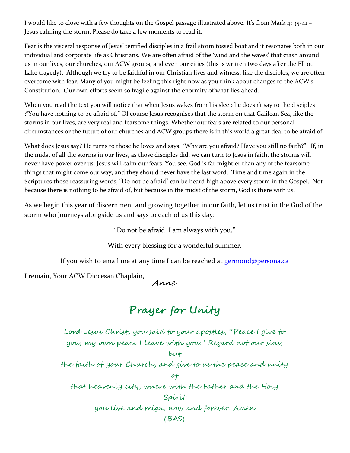I would like to close with a few thoughts on the Gospel passage illustrated above. It's from Mark 4: 35-41 – Jesus calming the storm. Please do take a few moments to read it.

Fear is the visceral response of Jesus' terrified disciples in a frail storm tossed boat and it resonates both in our individual and corporate life as Christians. We are often afraid of the 'wind and the waves' that crash around us in our lives, our churches, our ACW groups, and even our cities (this is written two days after the Elliot Lake tragedy). Although we try to be faithful in our Christian lives and witness, like the disciples, we are often overcome with fear. Many of you might be feeling this right now as you think about changes to the ACW's Constitution. Our own efforts seem so fragile against the enormity of what lies ahead.

When you read the text you will notice that when Jesus wakes from his sleep he doesn't say to the disciples ;"You have nothing to be afraid of." Of course Jesus recognises that the storm on that Galilean Sea, like the storms in our lives, are very real and fearsome things. Whether our fears are related to our personal circumstances or the future of our churches and ACW groups there is in this world a great deal to be afraid of.

What does Jesus say? He turns to those he loves and says, "Why are you afraid? Have you still no faith?" If, in the midst of all the storms in our lives, as those disciples did, we can turn to Jesus in faith, the storms will never have power over us. Jesus will calm our fears. You see, God is far mightier than any of the fearsome things that might come our way, and they should never have the last word. Time and time again in the Scriptures those reassuring words, "Do not be afraid" can be heard high above every storm in the Gospel. Not because there is nothing to be afraid of, but because in the midst of the storm, God is there with us.

As we begin this year of discernment and growing together in our faith, let us trust in the God of the storm who journeys alongside us and says to each of us this day:

"Do not be afraid. I am always with you."

With every blessing for a wonderful summer.

If you wish to email me at any time I can be reached at [germond@persona.ca](mailto:germond@persona.ca)

I remain, Your ACW Diocesan Chaplain,

Anne

## **Prayer for Unity**

Lord Jesus Christ, you said to your apostles, "Peace I give to you; my own peace I leave with you." Regard not our sins, but the faith of your Church, and give to us the peace and unity of that heavenly city, where with the Father and the Holy Spirit you live and reign, now and forever. Amen (BAS)